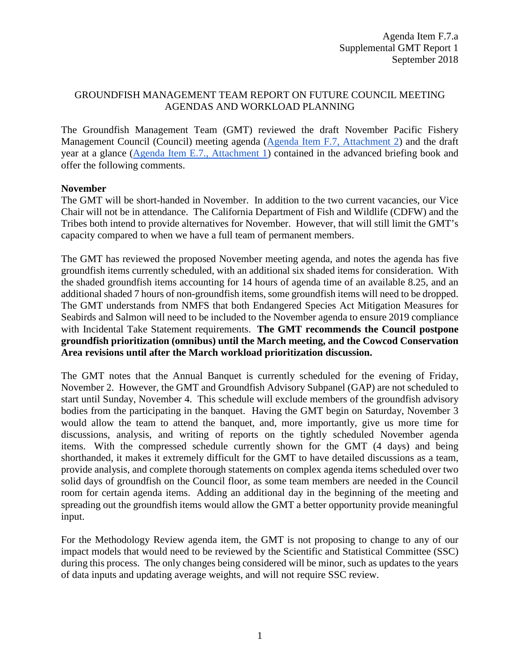## GROUNDFISH MANAGEMENT TEAM REPORT ON FUTURE COUNCIL MEETING AGENDAS AND WORKLOAD PLANNING

The Groundfish Management Team (GMT) reviewed the draft November Pacific Fishery Management Council (Council) meeting agenda [\(Agenda Item F.7, Attachment 2\)](https://www.pcouncil.org/wp-content/uploads/2018/09/F7_Att2_Nov_QR_SEPT2018BB_updatedBanquetV2.pdf) and the draft year at a glance [\(Agenda Item E.7., Attachment 1\)](https://www.pcouncil.org/wp-content/uploads/2018/08/F7_Att1_YAG_SEPTBB2018.pdf) contained in the advanced briefing book and offer the following comments.

## **November**

The GMT will be short-handed in November. In addition to the two current vacancies, our Vice Chair will not be in attendance. The California Department of Fish and Wildlife (CDFW) and the Tribes both intend to provide alternatives for November. However, that will still limit the GMT's capacity compared to when we have a full team of permanent members.

The GMT has reviewed the proposed November meeting agenda, and notes the agenda has five groundfish items currently scheduled, with an additional six shaded items for consideration. With the shaded groundfish items accounting for 14 hours of agenda time of an available 8.25, and an additional shaded 7 hours of non-groundfish items, some groundfish items will need to be dropped. The GMT understands from NMFS that both Endangered Species Act Mitigation Measures for Seabirds and Salmon will need to be included to the November agenda to ensure 2019 compliance with Incidental Take Statement requirements. **The GMT recommends the Council postpone groundfish prioritization (omnibus) until the March meeting, and the Cowcod Conservation Area revisions until after the March workload prioritization discussion.**

The GMT notes that the Annual Banquet is currently scheduled for the evening of Friday, November 2. However, the GMT and Groundfish Advisory Subpanel (GAP) are not scheduled to start until Sunday, November 4. This schedule will exclude members of the groundfish advisory bodies from the participating in the banquet. Having the GMT begin on Saturday, November 3 would allow the team to attend the banquet, and, more importantly, give us more time for discussions, analysis, and writing of reports on the tightly scheduled November agenda items. With the compressed schedule currently shown for the GMT (4 days) and being shorthanded, it makes it extremely difficult for the GMT to have detailed discussions as a team, provide analysis, and complete thorough statements on complex agenda items scheduled over two solid days of groundfish on the Council floor, as some team members are needed in the Council room for certain agenda items. Adding an additional day in the beginning of the meeting and spreading out the groundfish items would allow the GMT a better opportunity provide meaningful input.

For the Methodology Review agenda item, the GMT is not proposing to change to any of our impact models that would need to be reviewed by the Scientific and Statistical Committee (SSC) during this process. The only changes being considered will be minor, such as updates to the years of data inputs and updating average weights, and will not require SSC review.